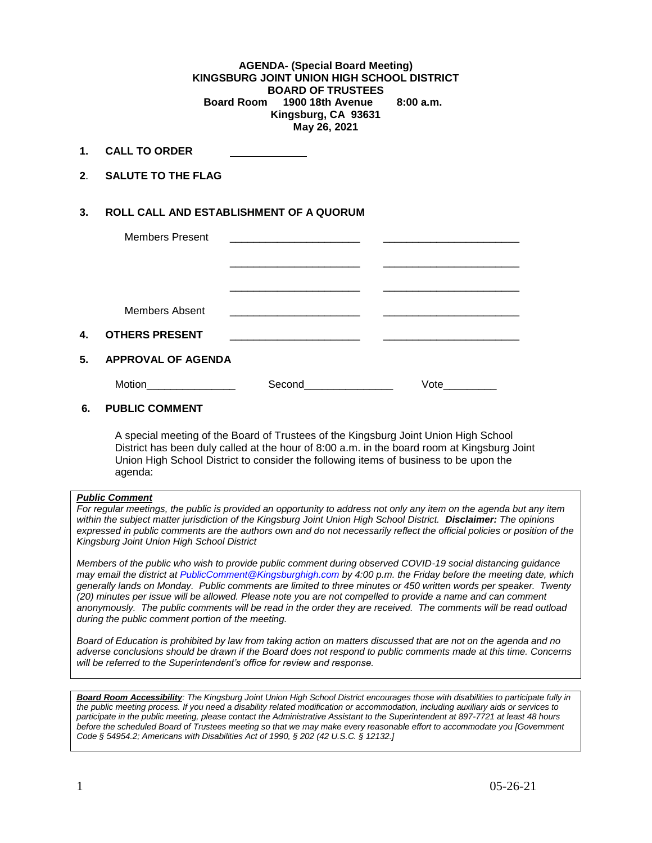## **AGENDA- (Special Board Meeting) KINGSBURG JOINT UNION HIGH SCHOOL DISTRICT BOARD OF TRUSTEES Board Room 1900 18th Avenue 8:00 a.m. Kingsburg, CA 93631 May 26, 2021**

- **1. CALL TO ORDER**
- **2**. **SALUTE TO THE FLAG**

## **3. ROLL CALL AND ESTABLISHMENT OF A QUORUM**

|    | <b>Members Present</b>    |                                                                                 |      |  |
|----|---------------------------|---------------------------------------------------------------------------------|------|--|
|    |                           |                                                                                 |      |  |
|    |                           |                                                                                 |      |  |
|    |                           |                                                                                 |      |  |
|    |                           |                                                                                 |      |  |
|    | Members Absent            | the contract of the contract of the contract of the contract of the contract of |      |  |
| 4. | <b>OTHERS PRESENT</b>     | the contract of the contract of the contract of the contract of the contract of |      |  |
|    |                           |                                                                                 |      |  |
| 5. | <b>APPROVAL OF AGENDA</b> |                                                                                 |      |  |
|    | Motion                    | Second<br>the control of the control of                                         | Vote |  |

## **6. PUBLIC COMMENT**

A special meeting of the Board of Trustees of the Kingsburg Joint Union High School District has been duly called at the hour of 8:00 a.m. in the board room at Kingsburg Joint Union High School District to consider the following items of business to be upon the agenda:

## *Public Comment*

*For regular meetings, the public is provided an opportunity to address not only any item on the agenda but any item within the subject matter jurisdiction of the Kingsburg Joint Union High School District. Disclaimer: The opinions expressed in public comments are the authors own and do not necessarily reflect the official policies or position of the Kingsburg Joint Union High School District*

*Members of the public who wish to provide public comment during observed COVID-19 social distancing guidance may email the district at [PublicComment@Kingsburghigh.com](mailto:PublicComment@Kingsburghigh.com) by 4:00 p.m. the Friday before the meeting date, which generally lands on Monday. Public comments are limited to three minutes or 450 written words per speaker. Twenty (20) minutes per issue will be allowed. Please note you are not compelled to provide a name and can comment anonymously. The public comments will be read in the order they are received. The comments will be read outload during the public comment portion of the meeting.*

*Board of Education is prohibited by law from taking action on matters discussed that are not on the agenda and no adverse conclusions should be drawn if the Board does not respond to public comments made at this time. Concerns will be referred to the Superintendent's office for review and response.* 

*Board Room Accessibility: The Kingsburg Joint Union High School District encourages those with disabilities to participate fully in the public meeting process. If you need a disability related modification or accommodation, including auxiliary aids or services to participate in the public meeting, please contact the Administrative Assistant to the Superintendent at 897-7721 at least 48 hours before the scheduled Board of Trustees meeting so that we may make every reasonable effort to accommodate you [Government Code § 54954.2; Americans with Disabilities Act of 1990, § 202 (42 U.S.C. § 12132.]*